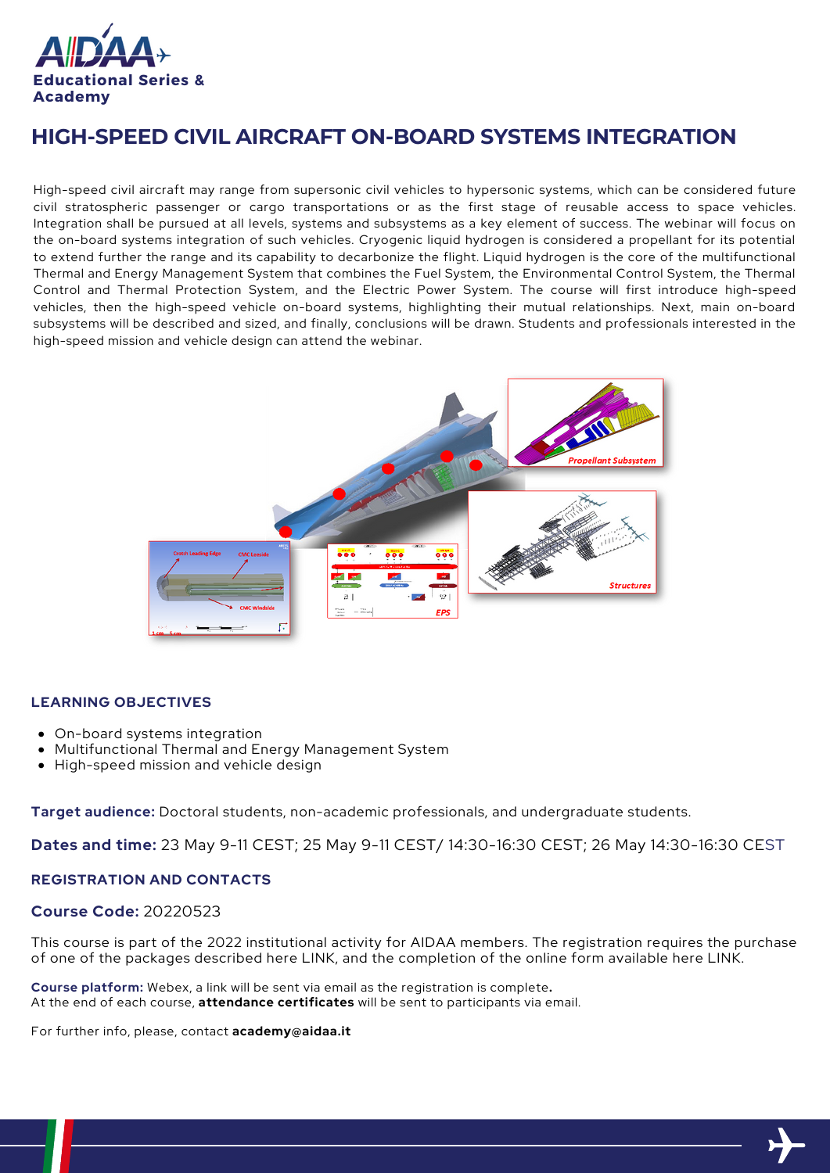

# **HIGH-SPEED CIVIL AIRCRAFT ON-BOARD SYSTEMS INTEGRATION**

High-speed civil aircraft may range from supersonic civil vehicles to hypersonic systems, which can be considered future civil stratospheric passenger or cargo transportations or as the first stage of reusable access to space vehicles. Integration shall be pursued at all levels, systems and subsystems as a key element of success. The webinar will focus on the on-board systems integration of such vehicles. Cryogenic liquid hydrogen is considered a propellant for its potential to extend further the range and its capability to decarbonize the flight. Liquid hydrogen is the core of the multifunctional Thermal and Energy Management System that combines the Fuel System, the Environmental Control System, the Thermal Control and Thermal Protection System, and the Electric Power System. The course will first introduce high-speed vehicles, then the high-speed vehicle on-board systems, highlighting their mutual relationships. Next, main on-board subsystems will be described and sized, and finally, conclusions will be drawn. Students and professionals interested in the high-speed mission and vehicle design can attend the webinar.



### **LEARNING OBJECTIVES**

- On-board systems integration
- Multifunctional Thermal and Energy Management System
- High-speed mission and vehicle design

**Target audience:** Doctoral students, non-academic professionals, and undergraduate students.

**Dates and time:** 23 May 9-11 CEST; 25 May 9-11 CEST/ 14:30-16:30 CEST; 26 May 14:30-16:30 CEST

#### **REGISTRATION AND CONTACTS**

#### **Course Code:** 20220523

This course is part of the 2022 institutional activity for AIDAA members. The registration requires the purchase of one of the packages described here LINK, and the completion of the online form available here LINK.

**Course platform:** Webex, a link will be sent via email as the registration is complete**.** At the end of each course, **attendance certificates** will be sent to participants via email.

For further info, please, contact **academy@aidaa.it**